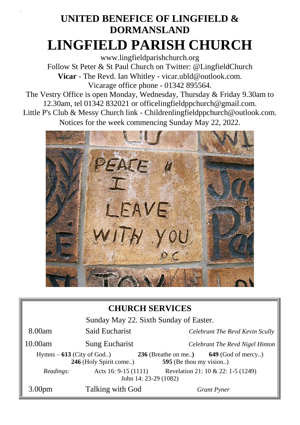# **UNITED BENEFICE OF LINGFIELD & DORMANSLAND LINGFIELD PARISH CHURCH**

[www.lingfieldparishchurch.org](http://www.lingfieldparishchurch.org/) Follow St Peter & St Paul Church on Twitter: @LingfieldChurch **Vicar** - The Revd. Ian Whitley - vicar.ubld@outlook.com. Vicarage office phone - 01342 895564.

The Vestry Office is open Monday, Wednesday, Thursday & Friday 9.30am to 12.30am, tel 01342 832021 or [officelingfieldppchurch@gmail.com.](mailto:officelingfieldppchurch@gmail.com)

Little P's Club & Messy Church link - [Childrenlingfieldppchurch@outlook.com.](mailto:Childrenlingfieldppchurch@outlook.com) Notices for the week commencing Sunday May 22, 2022.



#### **CHURCH SERVICES**

| Sunday May 22. Sixth Sunday of Easter. |                                                       |                                                                          |  |  |
|----------------------------------------|-------------------------------------------------------|--------------------------------------------------------------------------|--|--|
| 8.00am                                 | Said Eucharist                                        | Celebrant The Revd Kevin Scully                                          |  |  |
| 10.00am                                | Sung Eucharist                                        | Celebrant The Revd Nigel Hinton                                          |  |  |
|                                        | $Hymns - 613$ (City of God)<br>246 (Holy Spirit come) | $236$ (Breathe on me)<br>$649$ (God of mercy)<br>595 (Be thou my vision) |  |  |
| Readings:                              | Acts 16: $9-15(1111)$<br>John 14: 23-29 (1082)        | Revelation 21: 10 & 22: 1-5 (1249)                                       |  |  |
| 3.00 <sub>pm</sub>                     | Talking with God                                      | <b>Grant Pyner</b>                                                       |  |  |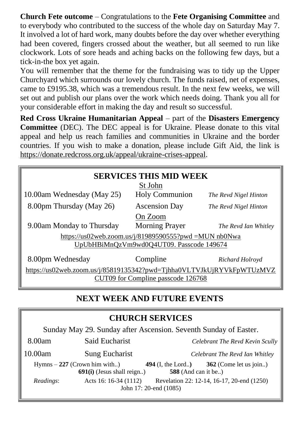**Church Fete outcome** – Congratulations to the **Fete Organising Committee** and to everybody who contributed to the success of the whole day on Saturday May 7. It involved a lot of hard work, many doubts before the day over whether everything had been covered, fingers crossed about the weather, but all seemed to run like clockwork. Lots of sore heads and aching backs on the following few days, but a tick-in-the box yet again.

You will remember that the theme for the fundraising was to tidy up the Upper Churchyard which surrounds our lovely church. The funds raised, net of expenses, came to £9195.38, which was a tremendous result. In the next few weeks, we will set out and publish our plans over the work which needs doing. Thank you all for your considerable effort in making the day and result so successful.

**Red Cross Ukraine Humanitarian Appeal** – part of the **Disasters Emergency Committee** (DEC). The DEC appeal is for Ukraine. Please donate to this vital appeal and help us reach families and communities in Ukraine and the border countries. If you wish to make a donation, please include Gift Aid, the link is [https://donate.redcross.org.uk/appeal/ukraine-crises-appeal.](https://donate.redcross.org.uk/appeal/ukraine-crises-appeal)

| <b>SERVICES THIS MID WEEK</b>                                         |                       |                       |  |  |  |
|-----------------------------------------------------------------------|-----------------------|-----------------------|--|--|--|
| St John                                                               |                       |                       |  |  |  |
| 10.00am Wednesday (May 25)                                            | <b>Holy Communion</b> | The Revd Nigel Hinton |  |  |  |
| 8.00pm Thursday (May 26)                                              | <b>Ascension Day</b>  | The Revd Nigel Hinton |  |  |  |
| On Zoom                                                               |                       |                       |  |  |  |
| 9.00am Monday to Thursday                                             | <b>Morning Prayer</b> | The Revd Ian Whitley  |  |  |  |
| https://us02web.zoom.us/j/81989590555?pwd =MUN nb0Nwa                 |                       |                       |  |  |  |
| UpUbHBiMnQzVm9wd0Q4UT09. Passcode 149674                              |                       |                       |  |  |  |
| 8.00pm Wednesday                                                      | Compline              | Richard Holroyd       |  |  |  |
| https://us02web.zoom.us/j/85819135342?pwd=Tjhha0VLTVJkUjRYVkFpWTUzMVZ |                       |                       |  |  |  |
| CUT09 for Compline passcode 126768                                    |                       |                       |  |  |  |

## **NEXT WEEK AND FUTURE EVENTS**

| <b>CHURCH SERVICES</b>                                           |                       |                                                                       |                                            |  |  |  |
|------------------------------------------------------------------|-----------------------|-----------------------------------------------------------------------|--------------------------------------------|--|--|--|
| Sunday May 29. Sunday after Ascension. Seventh Sunday of Easter. |                       |                                                                       |                                            |  |  |  |
| 8.00am                                                           | Said Eucharist        |                                                                       | Celebrant The Revd Kevin Scully            |  |  |  |
| 10.00am                                                          | Sung Eucharist        |                                                                       | Celebrant The Revd Ian Whitley             |  |  |  |
| $Hymns - 227$ (Crown him with)<br>$691(i)$ (Jesus shall reign)   |                       | 362 (Come let us join)<br>494 $(I, the Lord.)$<br>588 (And can it be) |                                            |  |  |  |
| Readings:                                                        | Acts 16: 16-34 (1112) | John 17: 20-end (1085)                                                | Revelation 22: 12-14, 16-17, 20-end (1250) |  |  |  |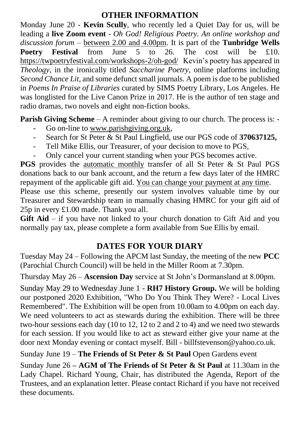#### **OTHER INFORMATION**

Monday June 20 - **Kevin Scully**, who recently led a Quiet Day for us, will be leading a **live Zoom event** - *Oh God! Religious Poetry. An online workshop and discussion forum –* between 2.00 and 4.00pm. It is part of the **Tunbridge Wells Poetry Festival** from June 5 to 26. The cost will be £10. <https://twpoetryfestival.com/workshops-2/oh-god/>Kevin's poetry has appeared in *Theology*, in the ironically titled *Saccharine Poetry*, online platforms including *Second Chance Lit,* and some defunct small journals. A poem is due to be published in *Poems In Praise of Libraries* curated by SIMS Poetry Library, Los Angeles. He was longlisted for the Live Canon Prize in 2017. He is the author of ten stage and radio dramas, two novels and eight non-fiction books.

**Parish Giving Scheme** – A reminder about giving to our church. The process is: -

- Go on-line to [www.parishgiving.org.uk,](http://www.parishgiving.org.ukj/)
- Search for St Peter & St Paul Lingfield, use our PGS code of **370637125,**
- Tell Mike Ellis, our Treasurer, of your decision to move to PGS,
- Only cancel your current standing when your PGS becomes active.

**PGS** provides the automatic monthly transfer of all St Peter & St Paul PGS donations back to our bank account, and the return a few days later of the HMRC repayment of the applicable gift aid. You can change your payment at any time.

Please use this scheme, presently our system involves valuable time by our Treasurer and Stewardship team in manually chasing HMRC for your gift aid of 25p in every £1.00 made. Thank you all.

**Gift Aid** – if you have not linked to your church donation to Gift Aid and you normally pay tax, please complete a form available from Sue Ellis by email.

## **DATES FOR YOUR DIARY**

Tuesday May 24 – Following the APCM last Sunday, the meeting of the new **PCC**  (Parochial Church Council) will be held in the Miller Room at 7.30pm.

Thursday May 26 – **Ascension Day** service at St John's Dormansland at 8.00pm.

Sunday May 29 to Wednesday June 1 - **RH7 History Group.** We will be holding our postponed 2020 Exhibition, "Who Do You Think They Were? - Local Lives Remembered". The Exhibition will be open from 10.00am to 4.00pm on each day. We need volunteers to act as stewards during the exhibition. There will be three two-hour sessions each day (10 to 12, 12 to 2 and 2 to 4) and we need two stewards for each session. If you would like to act as steward either give your name at the door next Monday evening or contact myself. Bill - billfstevenson@yahoo.co.uk.

Sunday June 19 – **The Friends of St Peter & St Paul** Open Gardens event

Sunday June 26 **– AGM of The Friends of St Peter & St Paul** at 11.30am in the Lady Chapel. Richard Young, Chair, has distributed the Agenda, Report of the Trustees, and an explanation letter. Please contact Richard if you have not received these documents.